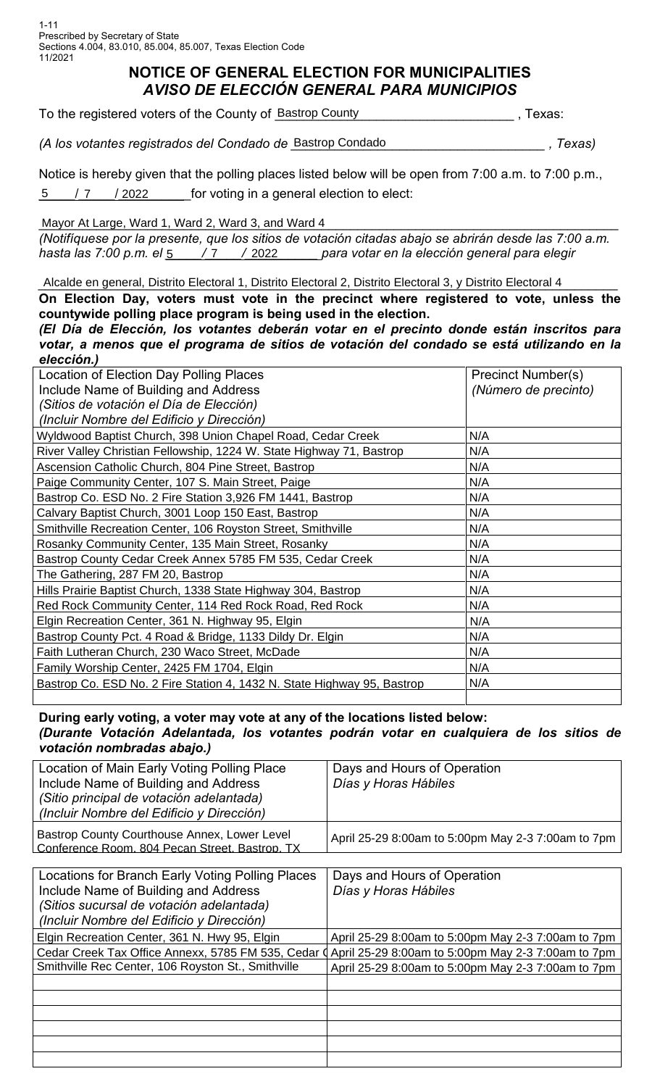## **NOTICE OF GENERAL ELECTION FOR MUNICIPALITIES** *AVISO DE ELECCIÓN GENERAL PARA MUNICIPIOS*

| To the registered voters of the County of Bastrop County |  | Texas: |
|----------------------------------------------------------|--|--------|
|----------------------------------------------------------|--|--------|

*(A los votantes registrados del Condado de \_\_\_\_\_\_\_\_\_\_\_\_\_\_\_\_\_\_\_\_\_\_\_\_\_\_\_\_\_\_\_\_\_\_\_ , Texas)* Bastrop Condado

Notice is hereby given that the polling places listed below will be open from 7:00 a.m. to 7:00 p.m.,  $\frac{5}{2}$  / 7 / 2022 for voting in a general election to elect:  $/ 2022$ 

Mayor At Large, Ward 1, Ward 2, Ward 3, and Ward 4

*(Notifíquese por la presente, que los sitios de votación citadas abajo se abrirán desde las 7:00 a.m. hasta las 7:00 p.m. el \_\_\_\_\_/\_\_\_\_\_/\_\_\_\_\_\_\_\_\_\_ para votar en la elección general para elegir*  5 7 2022

Alcalde en general, Distrito Electoral 1, Distrito Electoral 2, Distrito Electoral 3, y Distrito Electoral 4

| Alcalde en general, Distrito Electoral 1, Distrito Electoral 2, Distrito Electoral 3, y Distrito Electoral 4 |                           |  |  |  |  |  |  |
|--------------------------------------------------------------------------------------------------------------|---------------------------|--|--|--|--|--|--|
| On Election Day, voters must vote in the precinct where registered to vote, unless the                       |                           |  |  |  |  |  |  |
| countywide polling place program is being used in the election.                                              |                           |  |  |  |  |  |  |
| (El Día de Elección, los votantes deberán votar en el precinto donde están inscritos para                    |                           |  |  |  |  |  |  |
| votar, a menos que el programa de sitios de votación del condado se está utilizando en la                    |                           |  |  |  |  |  |  |
| elección.)                                                                                                   |                           |  |  |  |  |  |  |
| Location of Election Day Polling Places                                                                      | <b>Precinct Number(s)</b> |  |  |  |  |  |  |
| Include Name of Building and Address                                                                         | (Número de precinto)      |  |  |  |  |  |  |
| (Sitios de votación el Día de Elección)                                                                      |                           |  |  |  |  |  |  |
| (Incluir Nombre del Edificio y Dirección)                                                                    |                           |  |  |  |  |  |  |
| Wyldwood Baptist Church, 398 Union Chapel Road, Cedar Creek                                                  | N/A                       |  |  |  |  |  |  |
| River Valley Christian Fellowship, 1224 W. State Highway 71, Bastrop                                         | N/A                       |  |  |  |  |  |  |
| Ascension Catholic Church, 804 Pine Street, Bastrop                                                          | N/A                       |  |  |  |  |  |  |
| Paige Community Center, 107 S. Main Street, Paige                                                            | N/A                       |  |  |  |  |  |  |
| Bastrop Co. ESD No. 2 Fire Station 3,926 FM 1441, Bastrop                                                    | N/A                       |  |  |  |  |  |  |
| Calvary Baptist Church, 3001 Loop 150 East, Bastrop                                                          | N/A                       |  |  |  |  |  |  |
| Smithville Recreation Center, 106 Royston Street, Smithville                                                 | N/A                       |  |  |  |  |  |  |
| Rosanky Community Center, 135 Main Street, Rosanky                                                           | N/A                       |  |  |  |  |  |  |
| Bastrop County Cedar Creek Annex 5785 FM 535, Cedar Creek                                                    | N/A                       |  |  |  |  |  |  |
| The Gathering, 287 FM 20, Bastrop                                                                            | N/A                       |  |  |  |  |  |  |
| Hills Prairie Baptist Church, 1338 State Highway 304, Bastrop                                                | N/A                       |  |  |  |  |  |  |
| Red Rock Community Center, 114 Red Rock Road, Red Rock                                                       | N/A                       |  |  |  |  |  |  |
| Elgin Recreation Center, 361 N. Highway 95, Elgin                                                            | N/A                       |  |  |  |  |  |  |
| Bastrop County Pct. 4 Road & Bridge, 1133 Dildy Dr. Elgin                                                    | N/A                       |  |  |  |  |  |  |
| Faith Lutheran Church, 230 Waco Street, McDade                                                               | N/A                       |  |  |  |  |  |  |
| Family Worship Center, 2425 FM 1704, Elgin                                                                   | N/A                       |  |  |  |  |  |  |
| Bastrop Co. ESD No. 2 Fire Station 4, 1432 N. State Highway 95, Bastrop                                      | N/A                       |  |  |  |  |  |  |
|                                                                                                              |                           |  |  |  |  |  |  |

**During early voting, a voter may vote at any of the locations listed below:** *(Durante Votación Adelantada, los votantes podrán votar en cualquiera de los sitios de votación nombradas abajo.)*

| Location of Main Early Voting Polling Place<br>Include Name of Building and Address<br>(Sitio principal de votación adelantada)<br>(Incluir Nombre del Edificio y Dirección) | Days and Hours of Operation<br>Días y Horas Hábiles |
|------------------------------------------------------------------------------------------------------------------------------------------------------------------------------|-----------------------------------------------------|
| Bastrop County Courthouse Annex, Lower Level<br>Conference Room, 804 Pecan Street, Bastrop, TX                                                                               | April 25-29 8:00am to 5:00pm May 2-3 7:00am to 7pm  |
|                                                                                                                                                                              |                                                     |
| Locations for Branch Early Voting Polling Places                                                                                                                             | Days and Hours of Operation                         |
| Include Name of Building and Address                                                                                                                                         | Días y Horas Hábiles                                |
| (Sitios sucursal de votación adelantada)                                                                                                                                     |                                                     |
| (Incluir Nombre del Edificio y Dirección)                                                                                                                                    |                                                     |
| Elgin Recreation Center, 361 N. Hwy 95, Elgin                                                                                                                                | April 25-29 8:00am to 5:00pm May 2-3 7:00am to 7pm  |
| Cedar Creek Tax Office Annexx, 5785 FM 535, Cedar (                                                                                                                          | April 25-29 8:00am to 5:00pm May 2-3 7:00am to 7pm  |
| Smithville Rec Center, 106 Royston St., Smithville                                                                                                                           | April 25-29 8:00am to 5:00pm May 2-3 7:00am to 7pm  |
|                                                                                                                                                                              |                                                     |
|                                                                                                                                                                              |                                                     |
|                                                                                                                                                                              |                                                     |
|                                                                                                                                                                              |                                                     |
|                                                                                                                                                                              |                                                     |
|                                                                                                                                                                              |                                                     |